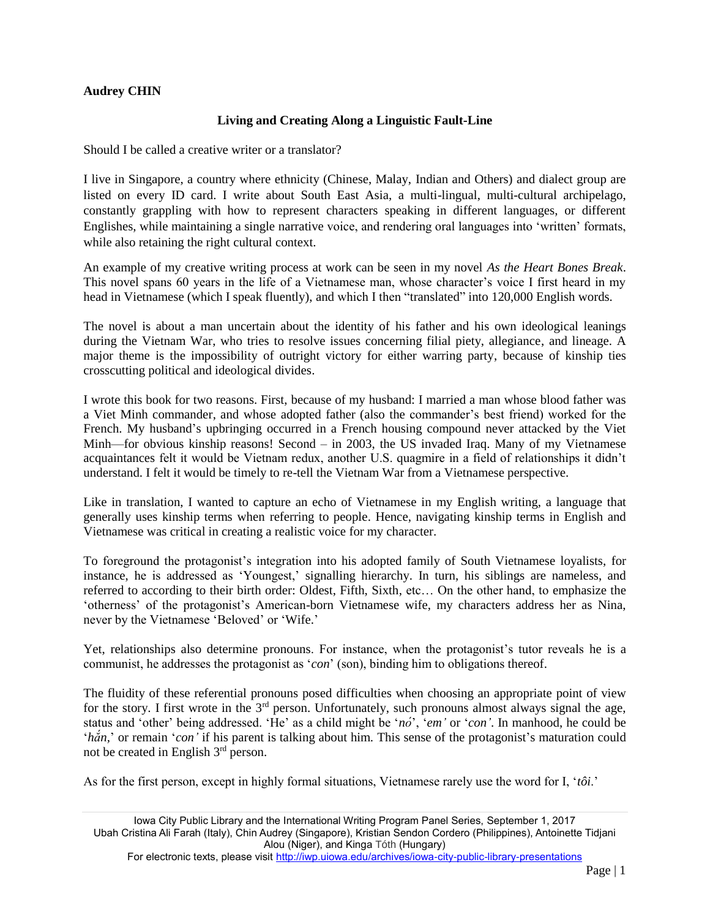## **Audrey CHIN**

## **Living and Creating Along a Linguistic Fault-Line**

Should I be called a creative writer or a translator?

I live in Singapore, a country where ethnicity (Chinese, Malay, Indian and Others) and dialect group are listed on every ID card. I write about South East Asia, a multi-lingual, multi-cultural archipelago, constantly grappling with how to represent characters speaking in different languages, or different Englishes, while maintaining a single narrative voice, and rendering oral languages into 'written' formats, while also retaining the right cultural context.

An example of my creative writing process at work can be seen in my novel *As the Heart Bones Break*. This novel spans 60 years in the life of a Vietnamese man, whose character's voice I first heard in my head in Vietnamese (which I speak fluently), and which I then "translated" into 120,000 English words.

The novel is about a man uncertain about the identity of his father and his own ideological leanings during the Vietnam War, who tries to resolve issues concerning filial piety, allegiance, and lineage. A major theme is the impossibility of outright victory for either warring party, because of kinship ties crosscutting political and ideological divides.

I wrote this book for two reasons. First, because of my husband: I married a man whose blood father was a Viet Minh commander, and whose adopted father (also the commander's best friend) worked for the French. My husband's upbringing occurred in a French housing compound never attacked by the Viet Minh—for obvious kinship reasons! Second – in 2003, the US invaded Iraq. Many of my Vietnamese acquaintances felt it would be Vietnam redux, another U.S. quagmire in a field of relationships it didn't understand. I felt it would be timely to re-tell the Vietnam War from a Vietnamese perspective.

Like in translation, I wanted to capture an echo of Vietnamese in my English writing, a language that generally uses kinship terms when referring to people. Hence, navigating kinship terms in English and Vietnamese was critical in creating a realistic voice for my character.

To foreground the protagonist's integration into his adopted family of South Vietnamese loyalists, for instance, he is addressed as 'Youngest,' signalling hierarchy. In turn, his siblings are nameless, and referred to according to their birth order: Oldest, Fifth, Sixth, etc… On the other hand, to emphasize the 'otherness' of the protagonist's American-born Vietnamese wife, my characters address her as Nina, never by the Vietnamese 'Beloved' or 'Wife.'

Yet, relationships also determine pronouns. For instance, when the protagonist's tutor reveals he is a communist, he addresses the protagonist as '*con*' (son), binding him to obligations thereof.

The fluidity of these referential pronouns posed difficulties when choosing an appropriate point of view for the story. I first wrote in the  $3<sup>rd</sup>$  person. Unfortunately, such pronouns almost always signal the age, status and 'other' being addressed. 'He' as a child might be '*nó*', '*em'* or '*con'*. In manhood, he could be '*hắn,*' or remain '*con'* if his parent is talking about him. This sense of the protagonist's maturation could not be created in English 3rd person.

As for the first person, except in highly formal situations, Vietnamese rarely use the word for I, '*tôi*.'